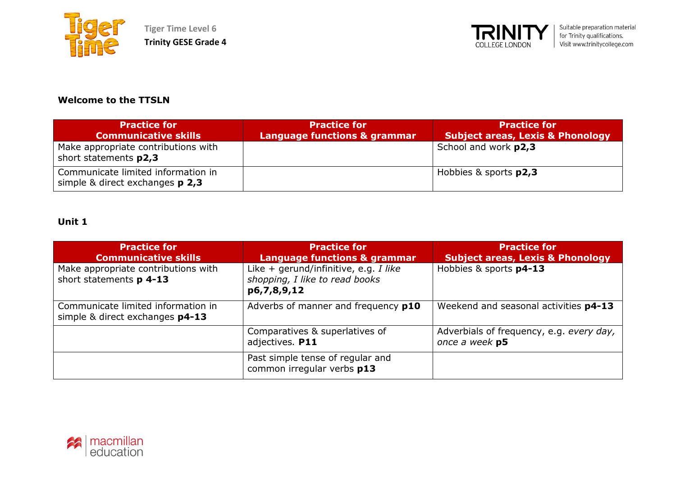



### **Welcome to the TTSLN**

| <b>Practice for</b><br><b>Communicative skills</b>                      | <b>Practice for</b><br>Language functions & grammar | <b>Practice for</b><br><b>Subject areas, Lexis &amp; Phonology</b> |
|-------------------------------------------------------------------------|-----------------------------------------------------|--------------------------------------------------------------------|
| Make appropriate contributions with<br>short statements p2,3            |                                                     | School and work p2,3                                               |
| Communicate limited information in<br>simple & direct exchanges $p$ 2,3 |                                                     | Hobbies & sports <b>p2,3</b>                                       |

| <b>Practice for</b><br><b>Communicative skills</b>                    | <b>Practice for</b><br>Language functions & grammar                                      | <b>Practice for</b><br><b>Subject areas, Lexis &amp; Phonology</b> |
|-----------------------------------------------------------------------|------------------------------------------------------------------------------------------|--------------------------------------------------------------------|
| Make appropriate contributions with<br>short statements p 4-13        | Like $+$ gerund/infinitive, e.g. I like<br>shopping, I like to read books<br>p6,7,8,9,12 | Hobbies & sports p4-13                                             |
| Communicate limited information in<br>simple & direct exchanges p4-13 | Adverbs of manner and frequency p10                                                      | Weekend and seasonal activities p4-13                              |
|                                                                       | Comparatives & superlatives of<br>adjectives. P11                                        | Adverbials of frequency, e.g. every day,<br>once a week p5         |
|                                                                       | Past simple tense of regular and<br>common irregular verbs p13                           |                                                                    |

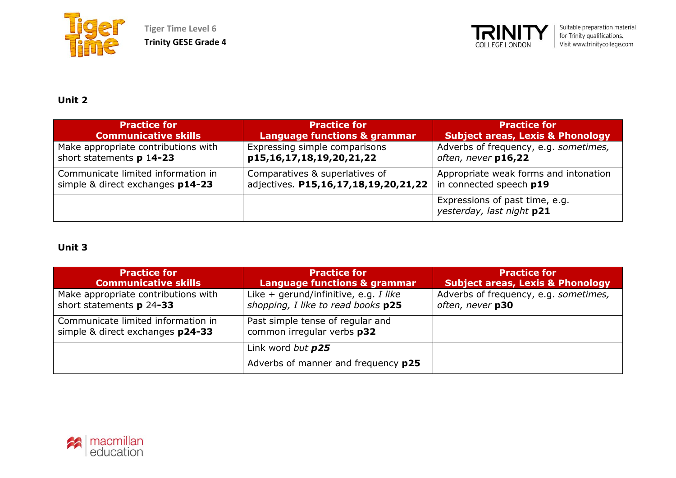



### **Unit 2**

| <b>Practice for</b>                 | <b>Practice for</b>                     | <b>Practice for</b>                                         |
|-------------------------------------|-----------------------------------------|-------------------------------------------------------------|
| <b>Communicative skills</b>         | <b>Language functions &amp; grammar</b> | <b>Subject areas, Lexis &amp; Phonology</b>                 |
| Make appropriate contributions with | Expressing simple comparisons           | Adverbs of frequency, e.g. sometimes,                       |
| short statements p 14-23            | p15,16,17,18,19,20,21,22                | often, never p16,22                                         |
| Communicate limited information in  | Comparatives & superlatives of          | Appropriate weak forms and intonation                       |
| simple & direct exchanges p14-23    | adjectives. P15,16,17,18,19,20,21,22    | in connected speech p19                                     |
|                                     |                                         | Expressions of past time, e.g.<br>yesterday, last night p21 |

| <b>Practice for</b><br><b>Communicative skills</b>                     | <b>Practice for</b><br><b>Language functions &amp; grammar</b>              | <b>Practice for</b><br><b>Subject areas, Lexis &amp; Phonology</b> |
|------------------------------------------------------------------------|-----------------------------------------------------------------------------|--------------------------------------------------------------------|
| Make appropriate contributions with<br>short statements p 24-33        | Like + gerund/infinitive, e.g. I like<br>shopping, I like to read books p25 | Adverbs of frequency, e.g. sometimes,<br>often, never p30          |
| Communicate limited information in<br>simple & direct exchanges p24-33 | Past simple tense of regular and<br>common irregular verbs p32              |                                                                    |
|                                                                        | Link word but p25                                                           |                                                                    |
|                                                                        | Adverbs of manner and frequency p25                                         |                                                                    |

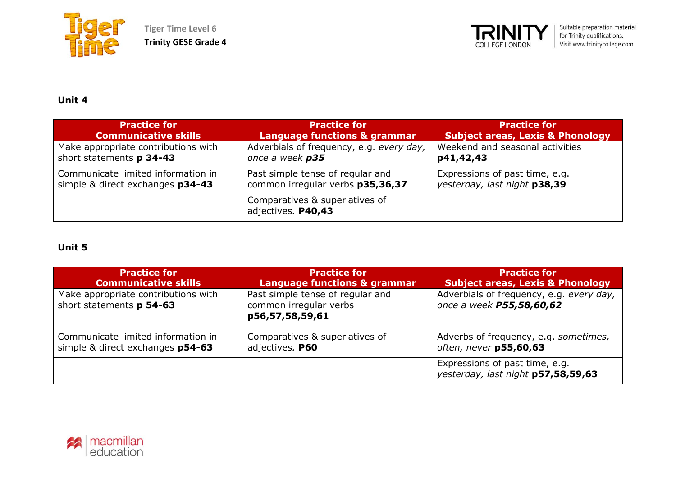

**Tiger Time Level 6 Trinity GESE Grade 4**



## **Unit 4**

| <b>Practice for</b>                 | <b>Practice for</b>                                  | <b>Practice for</b>                         |
|-------------------------------------|------------------------------------------------------|---------------------------------------------|
| <b>Communicative skills</b>         | Language functions & grammar                         | <b>Subject areas, Lexis &amp; Phonology</b> |
| Make appropriate contributions with | Adverbials of frequency, e.g. every day,             | Weekend and seasonal activities             |
| short statements p 34-43            | once a week p35                                      | p41,42,43                                   |
| Communicate limited information in  | Past simple tense of regular and                     | Expressions of past time, e.g.              |
| simple & direct exchanges p34-43    | common irregular verbs p35,36,37                     | yesterday, last night p38,39                |
|                                     | Comparatives & superlatives of<br>adjectives. P40,43 |                                             |

| <b>Practice for</b>                                             | <b>Practice for</b>                                                           | <b>Practice for</b>                                                  |
|-----------------------------------------------------------------|-------------------------------------------------------------------------------|----------------------------------------------------------------------|
| <b>Communicative skills</b>                                     | <b>Language functions &amp; grammar</b>                                       | <b>Subject areas, Lexis &amp; Phonology</b>                          |
| Make appropriate contributions with<br>short statements p 54-63 | Past simple tense of regular and<br>common irregular verbs<br>p56,57,58,59,61 | Adverbials of frequency, e.g. every day,<br>once a week P55,58,60,62 |
| Communicate limited information in                              | Comparatives & superlatives of                                                | Adverbs of frequency, e.g. sometimes,                                |
| simple & direct exchanges p54-63                                | adjectives. P60                                                               | often, never p55,60,63                                               |
|                                                                 |                                                                               | Expressions of past time, e.g.<br>yesterday, last night p57,58,59,63 |